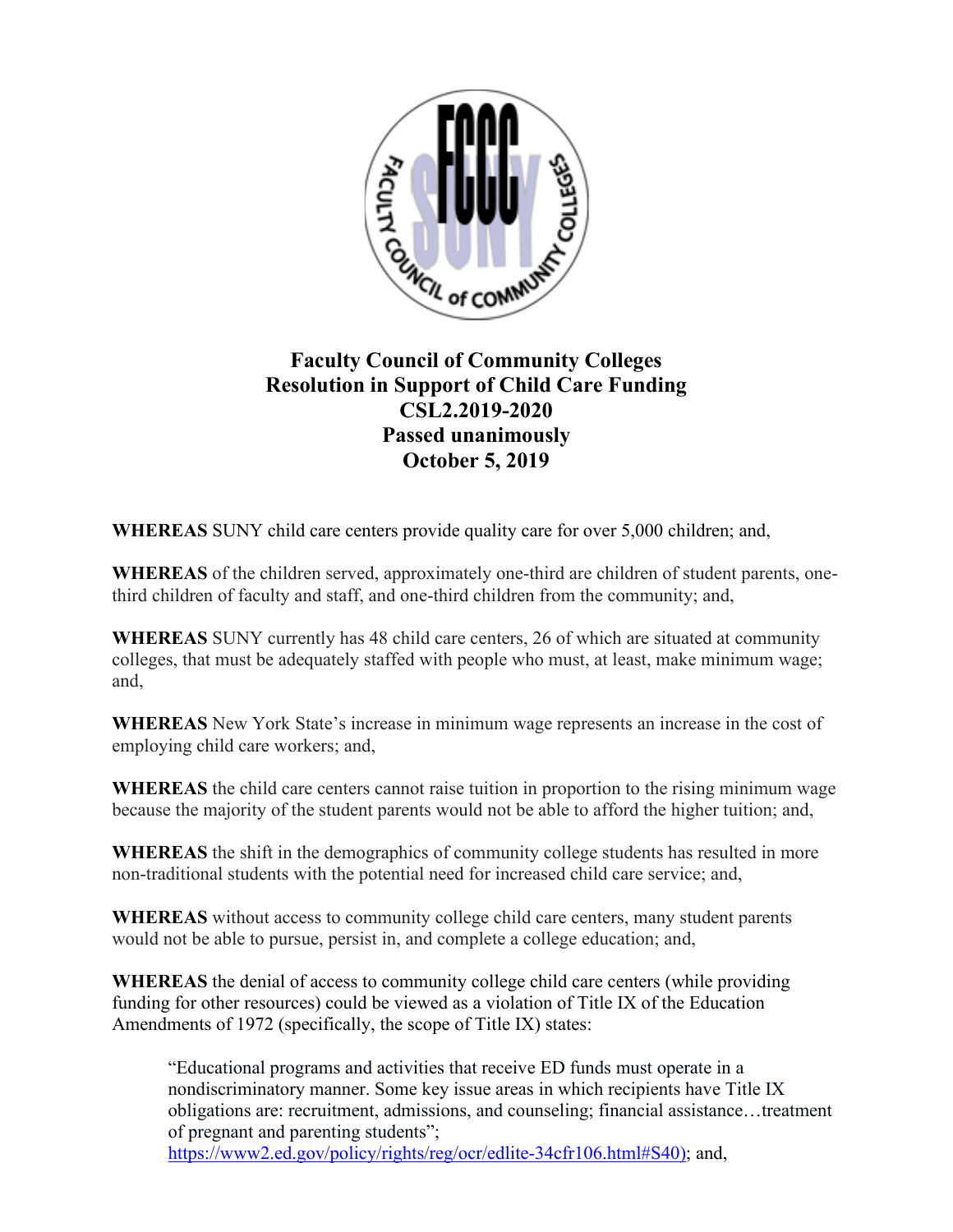

## **Faculty Council of Community Colleges Resolution in Support of Child Care Funding CSL2.2019-2020 Passed unanimously October 5, 2019**

**WHEREAS** SUNY child care centers provide quality care for over 5,000 children; and,

**WHEREAS** of the children served, approximately one-third are children of student parents, onethird children of faculty and staff, and one-third children from the community; and,

**WHEREAS** SUNY currently has 48 child care centers, 26 of which are situated at community colleges, that must be adequately staffed with people who must, at least, make minimum wage; and,

**WHEREAS** New York State's increase in minimum wage represents an increase in the cost of employing child care workers; and,

**WHEREAS** the child care centers cannot raise tuition in proportion to the rising minimum wage because the majority of the student parents would not be able to afford the higher tuition; and,

**WHEREAS** the shift in the demographics of community college students has resulted in more non-traditional students with the potential need for increased child care service; and,

**WHEREAS** without access to community college child care centers, many student parents would not be able to pursue, persist in, and complete a college education; and,

**WHEREAS** the denial of access to community college child care centers (while providing funding for other resources) could be viewed as a violation of Title IX of the Education Amendments of 1972 (specifically, the scope of Title IX) states:

"Educational programs and activities that receive ED funds must operate in a nondiscriminatory manner. Some key issue areas in which recipients have Title IX obligations are: recruitment, admissions, and counseling; financial assistance…treatment of pregnant and parenting students"; [https://www2.ed.gov/policy/rights/reg/ocr/edlite-34cfr106.html#S40\)](https://www2.ed.gov/policy/rights/reg/ocr/edlite-34cfr106.html#S40); and,